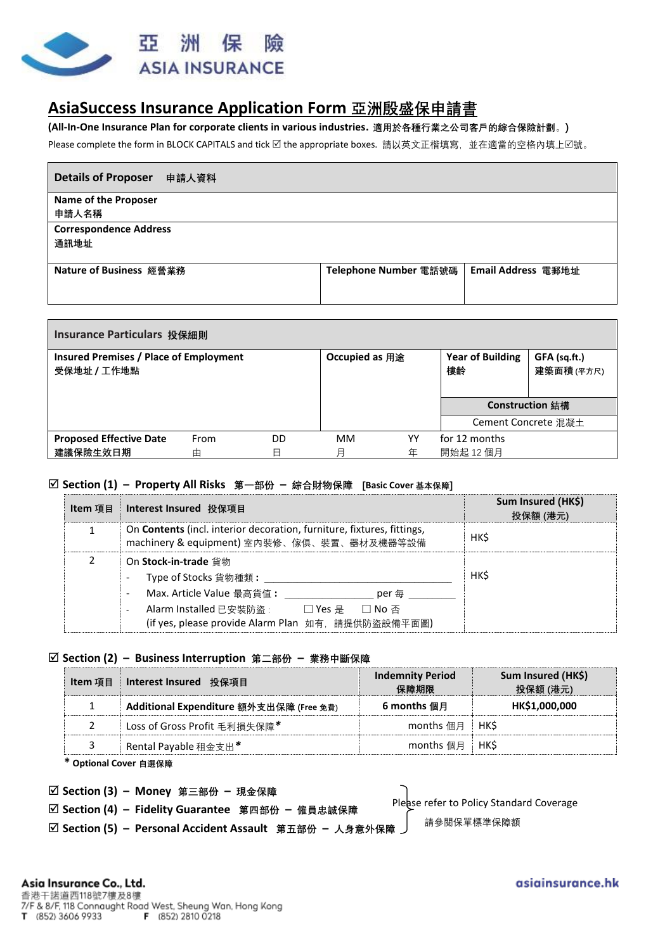

# **AsiaSuccess Insurance Application Form 亞洲殷盛保申請書**

**(All-In-One Insurance Plan for corporate clients in various industries. 適用於各種行業之公司客戶的綜合保險計劃**。**)**

Please complete the form in BLOCK CAPITALS and tick Ø the appropriate boxes. 請以英文正楷填寫, 並在適當的空格內填上Ø號。

| <b>Details of Proposer</b><br>申請人資料 |                       |                    |
|-------------------------------------|-----------------------|--------------------|
| <b>Name of the Proposer</b>         |                       |                    |
| 申請人名稱                               |                       |                    |
| <b>Correspondence Address</b>       |                       |                    |
| 通訊地址                                |                       |                    |
|                                     |                       |                    |
| Nature of Business 經營業務             | Telephone Number 電話號碼 | Email Address 電郵地址 |
|                                     |                       |                    |
|                                     |                       |                    |

| Insurance Particulars 投保細則                                   |      |    |                       |    |                               |                            |  |
|--------------------------------------------------------------|------|----|-----------------------|----|-------------------------------|----------------------------|--|
| <b>Insured Premises / Place of Employment</b><br>受保地址 / 工作地點 |      |    | <b>Occupied as 用途</b> |    | <b>Year of Building</b><br>樓齡 | GFA (sq.ft.)<br>建築面積 (平方尺) |  |
|                                                              |      |    |                       |    | Construction 結構               |                            |  |
|                                                              |      |    |                       |    | Cement Concrete 混凝土           |                            |  |
| <b>Proposed Effective Date</b>                               | From | DD | <b>MM</b>             | YY | for 12 months                 |                            |  |
| 建議保險生效日期                                                     | 由    | 日  | 月                     | 年  | 開始起 12個月                      |                            |  |

### **Section (1) – Property All Risks 第一部份 – 綜合財物保障 [Basic Cover 基本保障]**

| Item 項目 | │ Interest Insured 投保項目                                                                                                              | Sum Insured (HK\$)<br>投保額 (港元) |
|---------|--------------------------------------------------------------------------------------------------------------------------------------|--------------------------------|
|         | On <b>Contents</b> (incl. interior decoration, furniture, fixtures, fittings,<br>machinery & equipment) 室內裝修、傢俱、裝置、器材及機器等設備          | <b>HKŚ</b>                     |
|         | On Stock-in-trade 貨物<br>Type of Stocks 貨物種類:                                                                                         | <b>HKŚ</b>                     |
|         | Max. Article Value 最高貨值:<br>per 每<br>Alarm Installed 已安裝防盜:<br>□ Yes 是  □ No 否<br>(if yes, please provide Alarm Plan 如有, 請提供防盜設備平面圖) |                                |

## **Section (2) – Business Interruption 第二部份 – 業務中斷保障**

| Item 項目 | Interest Insured 投保項目                   | <b>Indemnity Period</b><br>保障期限 | Sum Insured (HK\$)<br>投保額 (港元) |  |
|---------|-----------------------------------------|---------------------------------|--------------------------------|--|
|         | Additional Expenditure 額外支出保障 (Free 免費) | 6 months 個月                     | HK\$1,000,000                  |  |
|         | Loss of Gross Profit 毛利損失保障*            | months 個月                       | <b>HKS</b>                     |  |
| 3       | Rental Payable 租金支出*                    | months 個月                       | <b>HKŚ</b>                     |  |

**\* Optional Cover 自選保障**

| ☑ Section (3) - Money 第三部份 - 現金保障                         |                                          |
|-----------------------------------------------------------|------------------------------------------|
| ☑ Section (4) - Fidelity Guarantee 第四部份 - 僱員忠誠保障          | Please refer to Policy Standard Coverage |
| ☑ Section (5) - Personal Accident Assault 第五部份 - 人身意外保障 丿 | 請參閱保單標準保障額                               |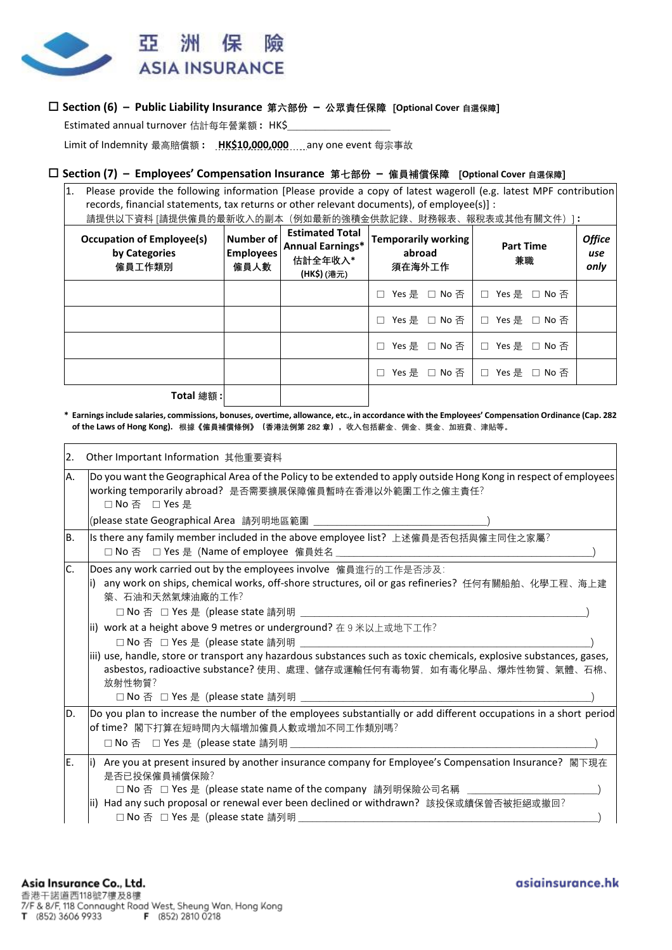

## **Section (6) – Public Liability Insurance 第六部份 – 公眾責任保障 [Optional Cover 自選保障]**

Estimated annual turnover 估計每年營業額 **:** HK\$\_\_\_\_\_\_\_\_\_\_\_\_\_\_\_\_\_\_\_\_\_\_

Limit of Indemnity 最高賠償額 **: HK\$10,000,000** any one event 每宗事故

### **Section (7) – Employees' Compensation Insurance 第七部份 – 僱員補償保障 [Optional Cover 自選保障]**

1. Please provide the following information [Please provide a copy of latest wageroll (e.g. latest MPF contribution records, financial statements, tax returns or other relevant documents), of employee(s)] : 請提供以下資料 [請提供僱員的最新收入的副本(例如最新的強積金供款記錄、財務報表、報稅表或其他有關文件)] **:**

| <b>Occupation of Employee(s)</b><br>by Categories<br>僱員工作類別 | Number of<br><b>Employees</b><br>僱員人數 | <b>Estimated Total</b><br><b>Annual Earnings*</b><br>估計全年收入*<br>(HK\$)(港元) | <b>Temporarily working</b><br>abroad<br>須在海外工作 | <b>Part Time</b><br>兼職        | <b>Office</b><br>use<br>only |
|-------------------------------------------------------------|---------------------------------------|----------------------------------------------------------------------------|------------------------------------------------|-------------------------------|------------------------------|
|                                                             |                                       |                                                                            | Yes 是 □ No 否<br>П                              | □ Yes 是 □ No 否                |                              |
|                                                             |                                       |                                                                            | Yes 是 □ No 否<br>П                              | Yes 是 □ No 否<br>$\Box$        |                              |
|                                                             |                                       |                                                                            | П                                              | Yes 是 □ No 否 ┃ □ Yes 是 □ No 否 |                              |
|                                                             |                                       |                                                                            | Yes 是 □ No 否<br>П                              | □ Yes 是 □ No 否                |                              |
| Total 缩缩·                                                   |                                       |                                                                            |                                                |                               |                              |

**Total 總額 :**

**\* Earnings include salaries, commissions, bonuses, overtime, allowance, etc., in accordance with the Employees' Compensation Ordinance (Cap. 282 of the Laws of Hong Kong). 根據《僱員補償條例》(香港法例第 282 章),收入包括薪金**、**佣金**、**獎金**、**加班費**、**津貼等。**

| 2.  | Other Important Information 其他重要資料                                                                                                                                                                                                                                                                                                                                                                                                                                           |  |  |  |  |  |  |
|-----|------------------------------------------------------------------------------------------------------------------------------------------------------------------------------------------------------------------------------------------------------------------------------------------------------------------------------------------------------------------------------------------------------------------------------------------------------------------------------|--|--|--|--|--|--|
| Α.  | Do you want the Geographical Area of the Policy to be extended to apply outside Hong Kong in respect of employees<br>working temporarily abroad? 是否需要擴展保障僱員暫時在香港以外範圍工作之僱主責任?<br>□ No 否 □ Yes 是                                                                                                                                                                                                                                                                               |  |  |  |  |  |  |
|     | (please state Geographical Area   請列明地區範圍  _______________________________                                                                                                                                                                                                                                                                                                                                                                                                   |  |  |  |  |  |  |
| IB. | Is there any family member included in the above employee list? 上述僱員是否包括與僱主同住之家屬?                                                                                                                                                                                                                                                                                                                                                                                            |  |  |  |  |  |  |
| C.  | Does any work carried out by the employees involve 僱員進行的工作是否涉及:<br>any work on ships, chemical works, off-shore structures, oil or gas refineries? 任何有關船舶、化學工程、海上建<br>i)<br>築、石油和天然氣煉油廠的工作?<br>ii) work at a height above 9 metres or underground? 在 9 米以上或地下工作?<br>iii) use, handle, store or transport any hazardous substances such as toxic chemicals, explosive substances, gases,<br>asbestos, radioactive substance? 使用、處理、儲存或運輸任何有毒物質, 如有毒化學品、爆炸性物質、氣體、石棉、<br>放射性物質? |  |  |  |  |  |  |
| D.  | Do you plan to increase the number of the employees substantially or add different occupations in a short period<br>of time? 閣下打算在短時間內大幅增加僱員人數或增加不同工作類別嗎?                                                                                                                                                                                                                                                                                                                    |  |  |  |  |  |  |
| E.  | i) Are you at present insured by another insurance company for Employee's Compensation Insurance? 閣下現在<br>是否已投保僱員補償保險?<br>□ No 否 □ Yes 是 (please state name of the company 請列明保險公司名稱 _________<br> ii) Had any such proposal or renewal ever been declined or withdrawn? 該投保或續保曾否被拒絕或撤回?<br>□ No 否 □ Yes 是 (please state 請列明                                                                                                                                                 |  |  |  |  |  |  |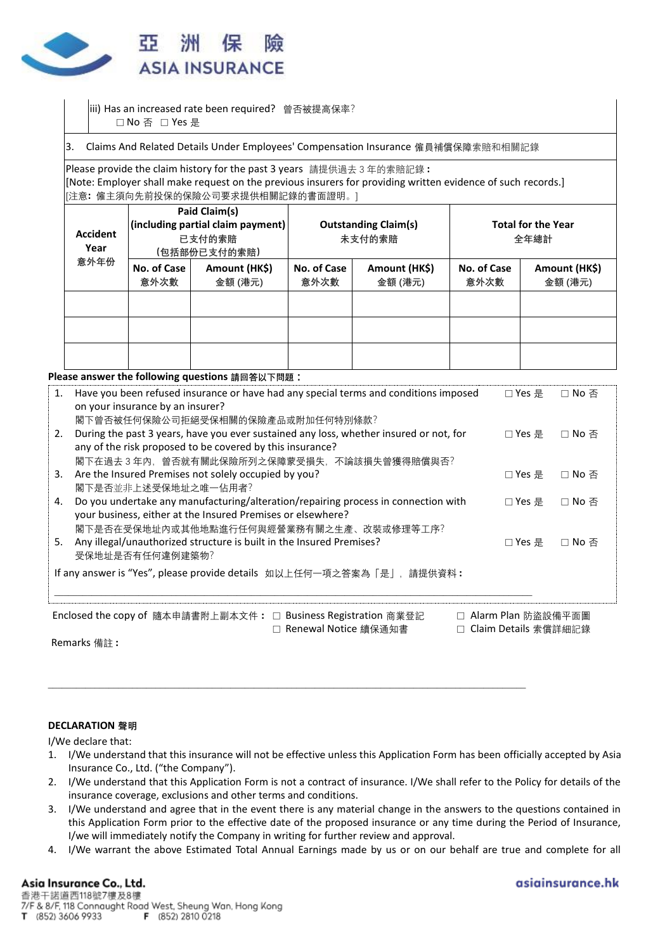

- iii) Has an increased rate been required? 曾否被提高保率? □ No 否 □ Yes 是
- 3. Claims And Related Details Under Employees' Compensation Insurance 僱員補償保障索賠和相關記錄

Please provide the claim history for the past 3 years 請提供過去 3 年的索賠記錄 **:** [Note: Employer shall make request on the previous insurers for providing written evidence of such records.] [注意**:** 僱主須向先前投保的保險公司要求提供相關記錄的書面證明。]

| <b>Accident</b><br>Year |                     | Paid Claim(s)<br>(including partial claim payment)<br>已支付的索賠<br>(包括部份已支付的索賠) |                     | <b>Outstanding Claim(s)</b><br>未支付的索賠 | <b>Total for the Year</b><br>全年總計 |                          |
|-------------------------|---------------------|------------------------------------------------------------------------------|---------------------|---------------------------------------|-----------------------------------|--------------------------|
| 意外年份                    | No. of Case<br>意外次數 | Amount (HK\$)<br>金額 (港元)                                                     | No. of Case<br>意外次數 | Amount (HK\$)<br>金額 (港元)              | No. of Case<br>意外次數               | Amount (HK\$)<br>金額 (港元) |
|                         |                     |                                                                              |                     |                                       |                                   |                          |
|                         |                     |                                                                              |                     |                                       |                                   |                          |
|                         |                     |                                                                              |                     |                                       |                                   |                          |

### **Please answer the following questions 請回答以下問題 :**

| $\mathbf{1}$ . | Have you been refused insurance or have had any special terms and conditions imposed<br>on your insurance by an insurer?<br>閣下曾否被任何保險公司拒絕受保相關的保險產品或附加任何特別條款? | □ Yes 문            | □ No 否 |
|----------------|--------------------------------------------------------------------------------------------------------------------------------------------------------------|--------------------|--------|
| 2.             | During the past 3 years, have you ever sustained any loss, whether insured or not, for<br>any of the risk proposed to be covered by this insurance?          | □ Yes 문            | □ No 否 |
| 3.             | 閣下在過去 3 年內,曾否就有關此保險所列之保障蒙受損失,不論該損失曾獲得賠償與否?<br>Are the Insured Premises not solely occupied by you?<br>閣下是否並非上述受保地址之唯一佔用者?                                    | □ Yes 是            | □ No 否 |
| 4.             | Do you undertake any manufacturing/alteration/repairing process in connection with<br>your business, either at the Insured Premises or elsewhere?            | □ Yes 是            | □ No 否 |
| 5.             | 閣下是否在受保地址內或其他地點進行任何與經營業務有關之生產、改裝或修理等工序?<br>Any illegal/unauthorized structure is built in the Insured Premises?<br>受保地址是否有任何違例建築物?                           | □ Yes 류            | □ No 否 |
|                | If any answer is "Yes", please provide details 如以上任何一項之答案為「是」, 請提供資料:                                                                                        |                    |        |
|                | Enclosed the copy of 隨本申請書附上副本文件: □ Business Registration 商業登記<br>П.                                                                                         | Alarm Plan 防盜設備平面圖 |        |

□ Renewal Notice 續保通知書 □ Claim Details 索償詳細記錄

\_\_\_\_\_\_\_\_\_\_\_\_\_\_\_\_\_\_\_\_\_\_\_\_\_\_\_\_\_\_\_\_\_\_\_\_\_\_\_\_\_\_\_\_\_\_\_\_\_\_\_\_\_\_\_\_\_\_\_\_\_\_\_\_\_\_\_\_\_\_\_\_\_\_\_\_\_\_\_\_\_\_\_\_\_\_\_\_\_\_\_\_\_\_\_\_\_\_\_\_\_\_

Remarks 備註 **:**

### **DECLARATION 聲明**

I/We declare that:

- 1. I/We understand that this insurance will not be effective unless this Application Form has been officially accepted by Asia Insurance Co., Ltd. ("the Company").
- 2. I/We understand that this Application Form is not a contract of insurance. I/We shall refer to the Policy for details of the insurance coverage, exclusions and other terms and conditions.
- 3. I/We understand and agree that in the event there is any material change in the answers to the questions contained in this Application Form prior to the effective date of the proposed insurance or any time during the Period of Insurance, I/we will immediately notify the Company in writing for further review and approval.
- 4. I/We warrant the above Estimated Total Annual Earnings made by us or on our behalf are true and complete for all

## Asia Insurance Co., Ltd.

asiainsurance.hk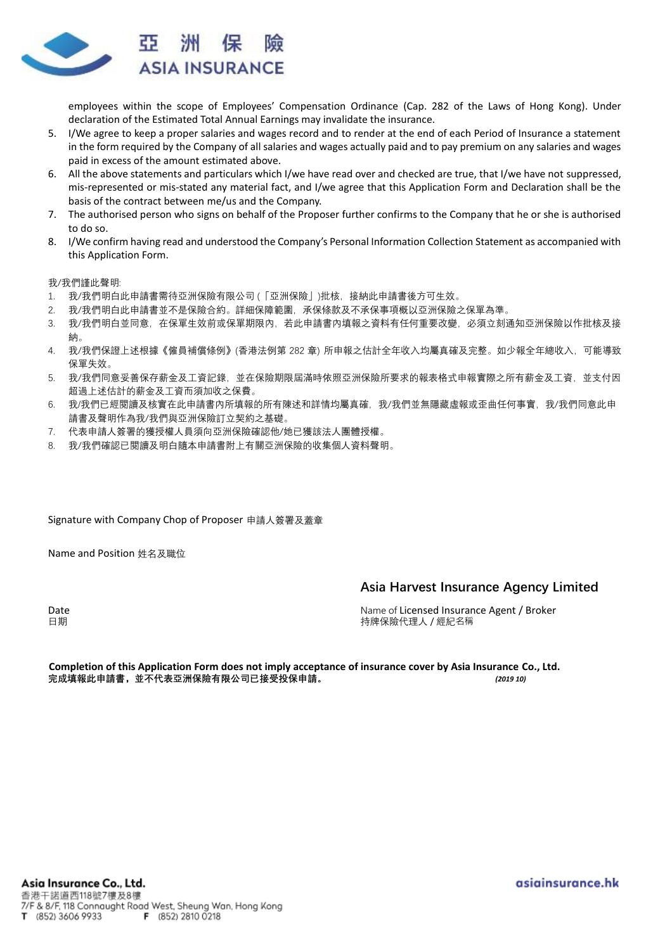

employees within the scope of Employees' Compensation Ordinance (Cap. 282 of the Laws of Hong Kong). Under declaration of the Estimated Total Annual Earnings may invalidate the insurance.

- 5. I/We agree to keep a proper salaries and wages record and to render at the end of each Period of Insurance a statement in the form required by the Company of all salaries and wages actually paid and to pay premium on any salaries and wages paid in excess of the amount estimated above.
- 6. All the above statements and particulars which I/we have read over and checked are true, that I/we have not suppressed, mis-represented or mis-stated any material fact, and I/we agree that this Application Form and Declaration shall be the basis of the contract between me/us and the Company.
- 7. The authorised person who signs on behalf of the Proposer further confirms to the Company that he or she is authorised to do so.
- 8. I/We confirm having read and understood the Company's Personal Information Collection Statement as accompanied with this Application Form.

我/我們謹此聲明:

- 1. 我/我們明白此申請書需待亞洲保險有限公司 (「亞洲保險」)批核,接納此申請書後方可生效。
- 2. 我/我們明白此申請書並不是保險合約。詳細保障範圍,承保條款及不承保事項概以亞洲保險之保單為準。
- 3. 我/我們明白並同意,在保單生效前或保單期限內,若此申請書內填報之資料有任何重要改變,必須立刻通知亞洲保險以作批核及接 納。
- 4. 我/我們保證上述根據《僱員補償條例》(香港法例第 282 章) 所申報之估計全年收入均屬真確及完整。如少報全年總收入,可能導致 保單失效。
- 5. 我/我們同意妥善保存薪金及工資記錄,並在保險期限屆滿時依照亞洲保險所要求的報表格式申報實際之所有薪金及工資,並支付因 超過上述估計的薪金及工資而須加收之保費。
- 6. 我/我們已經閱讀及核實在此申請書內所填報的所有陳述和詳情均屬真確,我/我們並無隱藏虛報或歪曲任何事實,我/我們同意此申 請書及聲明作為我/我們與亞洲保險訂立契約之基礎。
- 7. 代表申請人簽署的獲授權人員須向亞洲保險確認他/她已獲該法人團體授權。
- 8. 我/我們確認已閱讀及明白隨本申請書附上有關亞洲保險的收集個人資料聲明。

Signature with Company Chop of Proposer 申請人簽署及蓋章

Name and Position 姓名及職位

### **Asia Harvest Insurance Agency Limited**

Date Name of Licensed Insurance Agent / Broker 日期 持牌保險代理人 / 經紀名稱

**Completion of this Application Form does not imply acceptance of insurance cover by Asia Insurance Co., Ltd. 完成填報此申請書,並不代表亞洲保險有限公司已接受投保申請。** *(2019 10)*

asiainsurance.hk